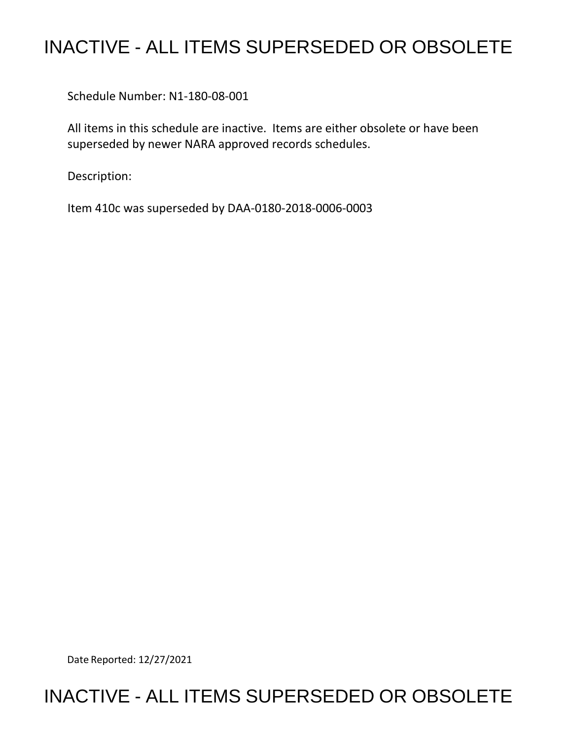## INACTIVE - ALL ITEMS SUPERSEDED OR OBSOLETE

Schedule Number: N1-180-08-001

 All items in this schedule are inactive. Items are either obsolete or have been superseded by newer NARA approved records schedules.

Description:

Item 410c was superseded by DAA-0180-2018-0006-0003

Date Reported: 12/27/2021

## INACTIVE - ALL ITEMS SUPERSEDED OR OBSOLETE